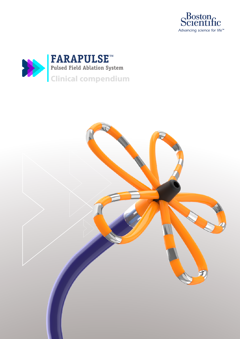



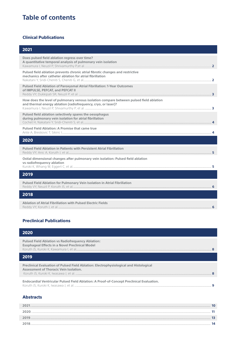# **Table of contents**

# Clinical Publications

| 2021                                                                                                                                                    |
|---------------------------------------------------------------------------------------------------------------------------------------------------------|
| Does pulsed field ablation regress over time?<br>A quantitative temporal analysis of pulmonary vein isolation                                           |
| Pulsed field ablation prevents chronic atrial fibrotic changes and restrictive<br>mechanics after catheter ablation for atrial fibrillation             |
| Pulsed Field Ablation of Paroxysmal Atrial Fibrillation: 1-Year Outcomes<br>of IMPULSE, PEFCAT, and PEFCAT II                                           |
| How does the level of pulmonary venous isolation compare between pulsed field ablation<br>and thermal energy ablation (radiofrequency, cryo, or laser)? |
| Pulsed field ablation selectively spares the oesophagus<br>during pulmonary vein isolation for atrial fibrillation                                      |
| Pulsed Field Ablation: A Promise that came true                                                                                                         |
| 2020                                                                                                                                                    |
| Pulsed Field Ablation in Patients with Persistent Atrial Fibrillation                                                                                   |
| Ostial dimensional changes after pulmonary vein isolation: Pulsed field ablation<br>vs radiofrequency ablation                                          |
| 2019                                                                                                                                                    |
| Pulsed Field Ablation for Pulmonary Vein Isolation in Atrial Fibrillation                                                                               |
| 2018                                                                                                                                                    |
| Ablation of Atrial Fibrillation with Pulsed Electric Fields                                                                                             |

# Preclinical Publications

| 2020                                                                                                                             |
|----------------------------------------------------------------------------------------------------------------------------------|
| <b>Pulsed Field Ablation vs Radiofrequency Ablation:</b><br><b>Esophageal Effects in a Novel Preclinical Model</b>               |
| 2019                                                                                                                             |
| Preclinical Evaluation of Pulsed Field Ablation: Electrophysiological and Histological<br>Assessment of Thoracic Vein Isolation. |
| Endocardial Ventricular Pulsed Field Ablation: A Proof-of-Concept Preclinical Evaluation.                                        |

# Abstracts

| วกว  |  |
|------|--|
| 2020 |  |
|      |  |
|      |  |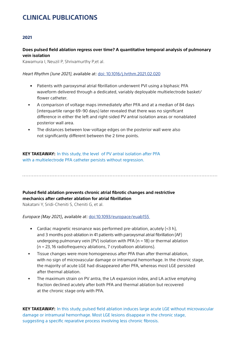# <span id="page-2-0"></span>**CLINICAL PUBLICATIONS**

## 2021

# **Does pulsed field ablation regress over time? A quantitative temporal analysis of pulmonary vein isolation**

Kawamura I, Neuzil P, Shrivamurthy P,et al.

## *Heart Rhythm (June 2021)*, available at: [doi: 10.1016/j.hrthm.2021.02.020](https://www.sciencedirect.com/science/article/pii/S154752712100182X )

- Patients with paroxysmal atrial fibrillation underwent PVI using a biphasic PFA waveform delivered through a dedicated, variably deployable multielectrode basket/ flower catheter.
- A comparison of voltage maps immediately after PFA and at a median of 84 days (interquartile range 69–90 days) later revealed that there was no significant difference in either the left and right-sided PV antral isolation areas or nonablated posterior wall area.
- The distances between low-voltage edges on the posterior wall were also not significantly different between the 2 time points.

**KEY TAKEAWAY:** In this study, the level of PV antral isolation after PFA with a multielectrode PFA catheter persists without regression.

# **Pulsed field ablation prevents chronic atrial fibrotic changes and restrictive mechanics after catheter ablation for atrial fibrillation**

Nakatani Y, Sridi-Cheniti S, Cheniti G, et al.

*Europace (May 2021)*, available at: [doi:10.1093/europace/euab155](https://academic.oup.com/europace/advance-article/doi/10.1093/europace/euab155/6317562) 

- Cardiac magnetic resonance was performed pre-ablation, acutely (<3 h), and 3 months post-ablation in 41 patients with paroxysmal atrial fibrillation (AF) undergoing pulmonary vein (PV) isolation with PFA (n = 18) or thermal ablation (n = 23, 16 radiofrequency ablations, 7 cryoballoon ablations).
- Tissue changes were more homogeneous after PFA than after thermal ablation, with no sign of microvascular damage or intramural hemorrhage. In the chronic stage, the majority of acute LGE had disappeared after PFA, whereas most LGE persisted after thermal ablation.
- The maximum strain on PV antra, the LA expansion index, and LA active emptying fraction declined acutely after both PFA and thermal ablation but recovered at the chronic stage only with PFA.

**KEY TAKEAWAY:** In this study, pulsed field ablation induces large acute LGE without microvascular damage or intramural hemorrhage. Most LGE lesions disappear in the chronic stage, suggesting a specific reparative process involving less chronic fibrosis.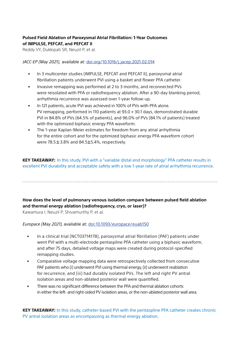# <span id="page-3-0"></span>**Pulsed Field Ablation of Paroxysmal Atrial Fibrillation: 1-Year Outcomes of IMPULSE, PEFCAT, and PEFCAT II**

Reddy VY, Dukkipati SR, Neuzil P, et al.

*JACC-EP (May 2021),* available at: [doi.org/10.1016/j.jacep.2021.02.014](https://www.sciencedirect.com/science/article/pii/S2405500X21001961?via%3Dihub )

- In 3 multicenter studies (IMPULSE, PEFCAT and PEFCAT II), paroxysmal atrial fibrillation patients underwent PVI using a basket and flower PFA catheter.
- Invasive remapping was performed at 2 to 3 months, and reconnected PVs were reisolated with PFA or radiofrequency ablation. After a 90-day blanking period, arrhythmia recurrence was assessed over 1-year follow-up.
- In 121 patients, acute PVI was achieved in 100% of PVs with PFA alone. PV remapping, performed in 110 patients at  $93.0 \pm 30.1$  days, demonstrated durable PVI in 84.8% of PVs (64.5% of patients), and 96.0% of PVs (84.1% of patients) treated with the optimized biphasic energy PFA waveform.
- The 1-year Kaplan-Meier estimates for freedom from any atrial arrhythmia for the entire cohort and for the optimized biphasic energy PFA waveform cohort were  $78.5 \pm 3.8\%$  and  $84.5 \pm 5.4\%$ , respectively.

**KEY TAKEAWAY:** In this study, PVI with a "variable distal end morphology" PFA catheter results in excellent PVI durability and acceptable safety with a low 1-year rate of atrial arrhythmia recurrence.

# **How does the level of pulmonary venous isolation compare between pulsed field ablation and thermal energy ablation (radiofrequency, cryo, or laser)?**

Kawamura I, Neuzil P, Shivamurthy P, et al.

# *Europace (May 2021),* available at: [doi:10.1093/europace/euab150](https://academic.oup.com/europace/advance-article/doi/10.1093/europace/euab150/6307146?login=true)

- In a clinical trial (NCT03714178), paroxysmal atrial fibrillation (PAF) patients under went PVI with a multi-electrode pentaspline PFA catheter using a biphasic waveform, and after 75 days, detailed voltage maps were created during protocol-specified remapping studies.
- Comparative voltage mapping data were retrospectively collected from consecutive PAF patients who (i) underwent PVI using thermal energy, (ii) underwent reablation for recurrence, and (iii) had durably isolated PVs. The left and right PV antral isolation areas and non-ablated posterior wall were quantified.
- There was no significant difference between the PFA and thermal ablation cohorts in either the left- and right-sided PV isolation areas, or the non-ablated posterior wall area.

**KEY TAKEAWAY:** In this study, catheter-based PVI with the pentaspline PFA catheter creates chronic PV antral isolation areas as encompassing as thermal energy ablation.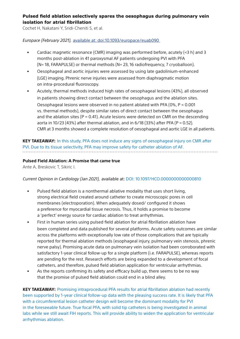# <span id="page-4-0"></span>**Pulsed field ablation selectively spares the oesophagus during pulmonary vein isolation for atrial fibrillation**

Cochet H, Nakatani Y, Sridi-Cheniti S, et al.

## *Europace (February 2021),* available at: [doi:10.1093/europace/euab090](https://academic.oup.com/europace/advance-article/doi/10.1093/europace/euab090/6271395 )

- Cardiac magnetic resonance (CMR) imaging was performed before, acutely  $(*3* h)$  and 3 months post-ablation in 41 paroxysmal AF patients undergoing PVI with PFA (N= 18, FARAPULSE) or thermal methods (N= 23, 16 radiofrequency, 7 cryoballoon).
- Oesophageal and aortic injuries were assessed by using late gadolinium-enhanced (LGE) imaging. Phrenic nerve injuries were assessed from diaphragmatic motion on intra-procedural fluoroscopy.
- Acutely, thermal methods induced high rates of oesophageal lesions (43%), all observed in patients showing direct contact between the oesophagus and the ablation sites. Oesophageal lesions were observed in no patient ablated with PFA (0%, P < 0.001 vs. thermal methods), despite similar rates of direct contact between the oesophagus and the ablation sites ( $P = 0.41$ ). Acute lesions were detected on CMR on the descending aorta in 10/23 (43%) after thermal ablation, and in 6/18 (33%) after PFA (P = 0.52). CMR at 3 months showed a complete resolution of oesophageal and aortic LGE in all patients.

# **KEY TAKEAWAY:** In this study, PFA does not induce any signs of oesophageal injury on CMR after PVI. Due to its tissue selectivity, PFA may improve safety for catheter ablation of AF.

# **Pulsed Field Ablation: A Promise that came true**

Ante A, Breskovic T, Sikiric I.

# *Current Opinion in Cardiology (Jan 2021),* available at: [DOI: 10.1097/HCO.0000000000000810](https://pubmed.ncbi.nlm.nih.gov/33264171/ )

- Pulsed field ablation is a nonthermal ablative modality that uses short living, strong electrical field created around catheter to create microscopic pores in cell membranes (electroporation). When adequately dosed/ configured it shows a preference for myocardial tissue necrosis. Thus, it holds a promise to become a 'perfect' energy source for cardiac ablation to treat arrhythmias.
- First in human series using pulsed field ablation for atrial fibrillation ablation have been completed and data published for several platforms. Acute safety outcomes are similar across the platforms with exceptionally low rate of those complications that are typically reported for thermal ablation methods (esophageal injury, pulmonary vein stenosis, phrenic nerve palsy). Promising acute data on pulmonary vein isolation had been corroborated with satisfactory 1-year clinical follow-up for a single platform (i.e. FARAPULSE), whereas reports are pending for the rest. Research efforts are being expanded to a development of focal catheters, and therefore, pulsed field ablation application for ventricular arrhythmias.
- As the reports confirming its safety and efficacy build up, there seems to be no way that the promise of pulsed field ablation could end in a blind alley.

**KEY TAKEAWAY:** Promising intraprocedural PFA results for atrial fibrillation ablation had recently been supported by 1-year clinical follow-up data with the pleasing success rate. It is likely that PFA with a circumferential lesion catheter design will become the dominant modality for PVI in the foreseeable future. True focal PFA, with solid tip catheters is being investigated in animal labs while we still await FIH reports. This will provide ability to widen the application for ventricular arrhythmias ablation.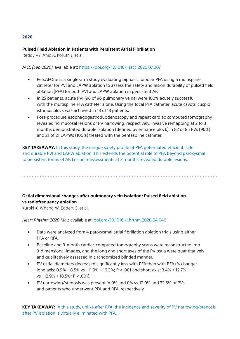#### <span id="page-5-0"></span>**Pulsed Field Ablation in Patients with Persistent Atrial Fibrillation**

Reddy VY, Anic A, Koruth J, et al.

#### *JACC (Sep 2020),* available at: <https://doi.org/10.1016/j.jacc.2020.07.007>

- PersAFOne is a single-arm study evaluating biphasic, bipolar PFA using a multispline catheter for PVI and LAPW ablation to assess the safety and lesion durability of pulsed field ablation (PFA) for both PVI and LAPW ablation in persistent AF.
- In 25 patients, acute PVI (96 of 96 pulmonary veins) were 100% acutely successful with the multispline PFA catheter alone. Using the focal PFA catheter, acute cavotri cuspid isthmus block was achieved in 13 of 13 patients.
- Post-procedure esophagogastroduodenoscopy and repeat cardiac computed tomography revealed no mucosal lesions or PV narrowing, respectively. Invasive remapping at 2 to 3 months demonstrated durable isolation (defined by entrance block) in 82 of 85 PVs (96%) and 21 of 21 LAPWs (100%) treated with the pentaspline catheter.

**KEY TAKEAWAY:** In this study, the unique safety profile of PFA potentiated efficient, safe, and durable PVI and LAPW ablation. This extends the potential role of PFA beyond paroxysmal to persistent forms of AF. Lesion reassessments at 3 months revealed durable lesions.

# **Ostial dimensional changes after pulmonary vein isolation: Pulsed field ablation vs radiofrequency ablation**

Kuroki K, Whang W, Eggert C, et al.

#### *Heart Rhythm 2020 May,* available at: [doi.org/10.1016 /j.hrthm.2020.04.040](https://www.heartrhythmjournal.com/article/S1547-5271(20)30410-0/fulltext)

- Data were analyzed from 4 paroxysmal atrial fibrillation ablation trials using either PFA or RFA.
- Baseline and 3-month cardiac computed tomography scans were reconstructed into 3-dimensional images, and the long and short axes of the PV ostia were quantitatively and qualitatively assessed in a randomized blinded manner.
- PV ostial diameters decreased significantly less with PFA than with RFA (% change; long axis: 0.9% ± 8.5% vs −11.9% ± 16.3%; P < .001 and short axis: 3.4% ± 12.7% vs −12.9% ± 18.5%; P < .001).
- PV narrowing/stenosis was present in 0% and 0% vs 12.0% and 32.5% of PVs and patients who underwent PFA and RFA, respectively.

**KEY TAKEAWAY:** In this study, unlike after RFA, the incidence and severity of PV narrowing/stenosis after PV isolation is virtually eliminated with PFA.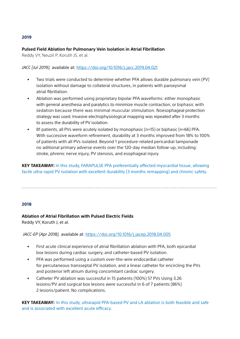#### <span id="page-6-0"></span>**Pulsed Field Ablation for Pulmonary Vein Isolation in Atrial Fibrillation**

Reddy VY, Neuzil P, Koruth JS, et al.

#### *JACC (Jul 2019),* available at: <https://doi.org/10.1016/j.jacc.2019.04.021>

- Two trials were conducted to determine whether PFA allows durable pulmonary vein (PV) isolation without damage to collateral structures, in patients with paroxysmal atrial fibrillation.
- Ablation was performed using proprietary bipolar PFA waveforms: either monophasic with general anesthesia and paralytics to minimize muscle contraction, or biphasic with sedation because there was minimal muscular stimulation. Noesophageal protection strategy was used. Invasive electrophysiological mapping was repeated after 3 months to assess the durability of PV isolation.
- 81 patients, all PVs were acutely isolated by monophasic (n=15) or biphasic (n=66) PFA. With successive waveform refinement, durability at 3 months improved from 18% to 100% of patients with all PVs isolated. Beyond 1 procedure-related pericardial tamponade no aditional primary adverse events over the 120-day median follow-up, including: stroke, phrenic nerve injury, PV stenosis, and esophageal injury.

**KEY TAKEAWAY:** In this study, FARAPULSE PFA preferentially affected myocardial tissue, allowing facile ultra-rapid PV isolation with excellent durability (3 months remapping) and chronic safety.

#### 2018

#### **Ablation of Atrial Fibrillation with Pulsed Electric Fields**

Reddy VY, Koruth J, et al.

#### *JACC-EP (Apr 2018),* available at: <https://doi.org/10.1016/j.jacep.2018.04.005>

- First acute clinical experience of atrial fibrillation ablation with PFA, both epicardial box lesions during cardiac surgery, and catheter-based PV isolation.
- PFA was performed using a custom over-the-wire endocardial catheter for percutaneous transseptal PV isolation, and a linear catheter for encircling the PVs and posterior left atrium during concomitant cardiac surgery.
- Catheter PV ablation was successful in 15 patients (100%) 57 PVs Using 3.26 lesions/PV and surgical box lesions were successful in 6 of 7 patients (86%) 2 lesions/patient. No complications.

**KEY TAKEAWAY:** In this study, ultrarapid PFA-based PV and LA ablation is both feasible and safe and is associated with excellent acute efficacy.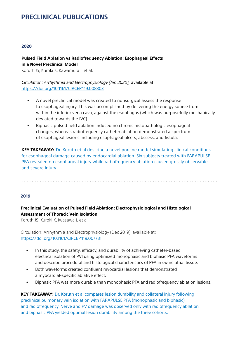# <span id="page-7-0"></span>**PRECLINICAL PUBLICATIONS**

#### 2020

# **Pulsed Field Ablation vs Radiofrequency Ablation: Esophageal Effects in a Novel Preclinical Model**

Koruth JS, Kuroki K, Kawamura I, et al.

*Circulation: Arrhythmia and Electrophysiology (Jan 2020),* available at: <https://doi.org/10.1161/CIRCEP.119.008303>

- A novel preclinical model was created to nonsurgical assess the response to esophageal injury. This was accomplished by delivering the energy source from within the inferior vena cava, against the esophagus (which was purposefully mechanically deviated towards the IVC).
- Biphasic pulsed field ablation induced no chronic histopathologic esophageal changes, whereas radiofrequency catheter ablation demonstrated a spectrum of esophageal lesions including esophageal ulcers, abscess, and fistula.

**KEY TAKEAWAY:** Dr. Koruth et al describe a novel porcine model simulating clinical conditions for esophageal damage caused by endocardial ablation. Six subjects treated with FARAPULSE PFA revealed no esophageal injury while radiofrequency ablation caused grossly observable and severe injury.

#### 2019

# **Preclinical Evaluation of Pulsed Field Ablation: Electrophysiological and Histological Assessment of Thoracic Vein Isolation**

Koruth JS, Kuroki K, Iwasawa J, et al.

Circulation: Arrhythmia and Electrophysiology (Dec 2019), available at: <https://doi.org/10.1161/CIRCEP.119.007781>

- In this study, the safety, efficacy, and durability of achieving catheter-based electrical isolation of PVI using optimized monophasic and biphasic PFA waveforms and describe procedural and histological characteristics of PFA in swine atrial tissue.
- Both waveforms created confluent myocardial lesions that demonstrated a myocardial-specific ablative effect.
- Biphasic PFA was more durable than monophasic PFA and radiofrequency ablation lesions.

**KEY TAKEAWAY:** Dr. Koruth et al compares lesion durability and collateral injury following preclinical pulmonary vein isolation with FARAPULSE PFA (monophasic and biphasic) and radiofrequency. Nerve and PV damage was observed only with radiofrequency ablation and biphasic PFA yielded optimal lesion durability among the three cohorts.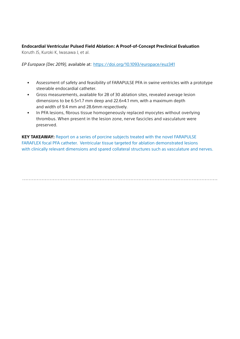<span id="page-8-0"></span>**Endocardial Ventricular Pulsed Field Ablation: A Proof-of-Concept Preclinical Evaluation** Koruth JS, Kuroki K, Iwasawa J, et al.

*EP Europace (Dec 2019),* available at: <https://doi.org/10.1093/europace/euz341>

- Assessment of safety and feasibility of FARAPULSE PFA in swine ventricles with a prototype steerable endocardial catheter.
- Gross measurements, available for 28 of 30 ablation sites, revealed average lesion dimensions to be 6.5±1.7 mm deep and 22.6±4.1 mm, with a maximum depth and width of 9.4 mm and 28.6mm respectively.
- In PFA lesions, fibrous tissue homogeneously replaced myocytes without overlying thrombus. When present in the lesion zone, nerve fascicles and vasculature were preserved.

**KEY TAKEAWAY:** Report on a series of porcine subjects treated with the novel FARAPULSE FARAFLEX focal PFA catheter. Ventricular tissue targeted for ablation demonstrated lesions with clinically relevant dimensions and spared collateral structures such as vasculature and nerves.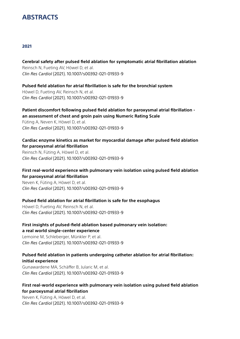# **ABSTRACTS**

## 2021

#### **Cerebral safety after pulsed field ablation for symptomatic atrial fibrillation ablation**

Reinsch N, Fueting AV, Höwel D, et al. *Clin Res Cardiol* (2021). 10.1007/s00392-021-01933-9

## **Pulsed field ablation for atrial fibrillation is safe for the bronchial system**

Höwel D, Fueting AV, Reinsch N, et al. *Clin Res Cardiol* (2021). 10.1007/s00392-021-01933-9

# **Patient discomfort following pulsed field ablation for paroxysmal atrial fibrillation an assessment of chest and groin pain using Numeric Rating Scale**

Füting A, Neven K, Höwel D, et al. *Clin Res Cardiol* (2021). 10.1007/s00392-021-01933-9

## **Cardiac enzyme kinetics as market for myocardial damage after pulsed field ablation for paroxysmal atrial fibrillation**

Reinsch N, Füting A, Höwel D, et al. *Clin Res Cardiol* (2021). 10.1007/s00392-021-01933-9

# **First real-world experience with pulmonary vein isolation using pulsed field ablation for paroxysmal atrial fibrillation**

Neven K, Füting A, Höwel D, et al. *Clin Res Cardiol* (2021). 10.1007/s00392-021-01933-9

# **Pulsed field ablation for atrial fibrillation is safe for the esophagus**

Höwel D, Fueting AV, Reinsch N, et al. *Clin Res Cardiol* (2021). 10.1007/s00392-021-01933-9

## **First insights of pulsed-field ablation based pulmonary vein isolation: a real world single-center experience**

Lemoine M, Schleberger, Münkler P, et al. *Clin Res Cardiol* (2021). 10.1007/s00392-021-01933-9

# **Pulsed field ablation in patients undergoing catheter ablation for atrial fibrillation: initial experience**

Gunawardene MA, Schäffer B, Jularic M, et al. *Clin Res Cardiol* (2021). 10.1007/s00392-021-01933-9

# **First real-world experience with pulmonary vein isolation using pulsed field ablation for paroxysmal atrial fibrillation**

Neven K, Füting A, Höwel D, et al. *Clin Res Cardiol* (2021). 10.1007/s00392-021-01933-9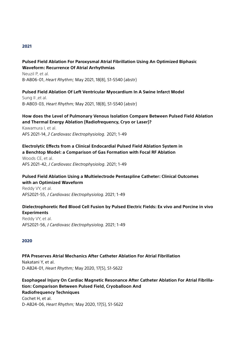## <span id="page-10-0"></span>**Pulsed Field Ablation For Paroxysmal Atrial Fibrillation Using An Optimized Biphasic Waveform: Recurrence Of Atrial Arrhythmias**

Neuzil P, et al. B-AB06-01, *Heart Rhythm;* May 2021, 18(8), S1-S540 (abstr)

# **Pulsed Field Ablation Of Left Ventricular Myocardium In A Swine Infarct Model**

Sung Il ,et al. B-AB03-03, *Heart Rhythm;* May 2021, 18(8), S1-S540 (abstr)

#### **How does the Level of Pulmonary Venous Isolation Compare Between Pulsed Field Ablation and Thermal Energy Ablation (Radiofrequency, Cryo or Laser)?**

Kawamura I, et al. AFS 2021-14, *J Cardiovasc Electrophysiolog.* 2021; 1-49

## **Electrolytic Effects from a Clinical Endocardial Pulsed Field Ablation System in a Benchtop Model: a Comparison of Gas Formation with Focal RF Ablation**

Woods CE, et al. AFS 2021-42, *J Cardiovasc Electrophysiolog.* 2021; 1-49

# **Pulsed Field Ablation Using a Multielectrode Pentaspline Catheter: Clinical Outcomes with an Optimized Waveform**

Reddy VY, et al. AFS2021-55, *J Cardiovasc Electrophysiolog.* 2021; 1-49

## **Dielectrophoretic Red Blood Cell Fusion by Pulsed Electric Fields: Ex vivo and Porcine in vivo Experiments**

Reddy VY, et al. AFS2021-56, *J Cardiovasc Electrophysiolog.* 2021; 1-49

#### 2020

# **PFA Preserves Atrial Mechanics After Catheter Ablation For Atrial Fibrillation**

Nakatani Y, et al. D-AB24-01, *Heart Rhythm;* May 2020, 17(5), S1-S622

# **Esophageal Injury On Cardiac Magnetic Resonance After Catheter Ablation For Atrial Fibrillation: Comparison Between Pulsed Field, Cryoballoon And Radiofrequency Techniques**  Cochet H, et al.

D-AB24-06, *Heart Rhythm;* May 2020, 17(5), S1-S622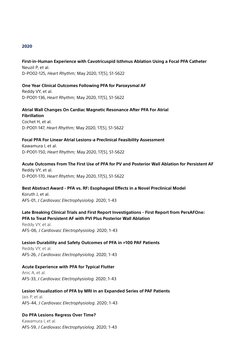# <span id="page-11-0"></span>**First-in-Human Experience with Cavotricuspid Isthmus Ablation Using a Focal PFA Catheter**  Neuzil P, et al.

D-PO02-125, *Heart Rhythm;* May 2020, 17(5), S1-S622

## **One Year Clinical Outcomes Following PFA for Paroxysmal AF**

Reddy VY, et al. D-PO01-136, *Heart Rhythm;* May 2020, 17(5), S1-S622

#### **Atrial Wall Changes On Cardiac Magnetic Resonance After PFA For Atrial Fibrillation**

Cochet H, et al. D-PO01-147, *Heart Rhythm;* May 2020, 17(5), S1-S622

#### **Focal PFA For Linear Atrial Lesions-a Preclinical Feasibility Assessment**

Kawamura I, et al. D-PO01-150, *Heart Rhythm;* May 2020, 17(5), S1-S622

# **Acute Outcomes From The First Use of PFA for PV and Posterior Wall Ablation for Persistent AF**

Reddy VY, et al. D-PO01-170, *Heart Rhythm;* May 2020, 17(5), S1-S622

#### **Best Abstract Award - PFA vs. RF: Esophageal Effects in a Novel Preclinical Model**

Koruth J, et al. AFS-01, *J Cardiovasc Electrophysiolog.* 2020; 1-43

# **Late Breaking Clinical Trials and First Report Investigations - First Report from PersAFOne:**

# **PFA to Treat Persistent AF with PVI Plus Posterior Wall Ablation**

Reddy VY, et al. AFS-06, *J Cardiovasc Electrophysiolog.* 2020; 1-43

#### **Lesion Durability and Safety Outcomes of PFA in >100 PAF Patients**

Reddy VY, et al. AFS-26, *J Cardiovasc Electrophysiolog.* 2020; 1-43

#### **Acute Experience with PFA for Typical Flutter**

Anic A, et al. AFS-33, *J Cardiovasc Electrophysiolog.* 2020; 1-43

#### **Lesion Visualization of PFA by MRI in an Expanded Series of PAF Patients**

Jais P, et al. AFS-44, *J Cardiovasc Electrophysiolog.* 2020; 1-43

#### **Do PFA Lesions Regress Over Time?**

Kawamura I, et al. AFS-59, *J Cardiovasc Electrophysiolog.* 2020; 1-43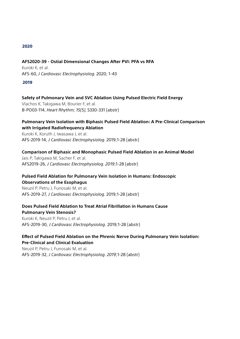#### <span id="page-12-0"></span>**AFS2020-39 - Ostial Dimensional Changes After PVI: PFA vs RFA**

Kuroki K, et al. AFS-60, *J Cardiovasc Electrophysiolog.* 2020; 1-43

#### 2019

#### **Safety of Pulmonary Vein and SVC Ablation Using Pulsed Electric Field Energy**

Vlachos K, Takigawa M, Bourier F, et al. B-PO03-114, *Heart Rhythm; 15(5)*, S330-331 (abstr)

## **Pulmonary Vein Isolation with Biphasic Pulsed Field Ablation: A Pre-Clinical Comparison with Irrigated Radiofrequency Ablation**

Kuroki K, Koruth J, Iwasawa J, et al. AFS-2019-14, *J Cardiovasc Electrophysiolog.* 2019;1-28 (abstr)

## **Comparison of Biphasic and Monophasic Pulsed Field Ablation in an Animal Model**

Jais P, Takigawa M, Sacher F, et al. AFS2019-26, *J Cardiovasc Electrophysiolog. 2019*;1-28 (abstr)

## **Pulsed Field Ablation for Pulmonary Vein Isolation in Humans: Endoscopic Observations of the Esophagus**

Neuzil P, Petru J, Funosaki M, et al. AFS-2019-27, *J Cardiovasc Electrophysiolog.* 2019;1-28 (abstr)

## **Does Pulsed Field Ablation to Treat Atrial Fibrillation in Humans Cause Pulmonary Vein Stenosis?**

Kuroki K, Neuzil P, Petru J, et al. AFS-2019-30, *J Cardiovasc Electrophysiolog.* 2019;1-28 (abstr)

# **Effect of Pulsed Field Ablation on the Phrenic Nerve During Pulmonary Vein Isolation: Pre-Clinical and Clinical Evaluation**

Neuzil P, Petru J, Funosaki M, et al. AFS-2019-32, *J Cardiovasc Electrophysiolog. 2019*;1-28 (abstr)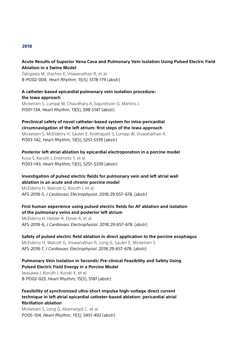## <span id="page-13-0"></span>**Acute Results of Superior Vena Cava and Pulmonary Vein Isolation Using Pulsed Electric Field Ablation in a Swine Model**

Takigawa M, Vlachos K, Viswanathan R, et al. B-PO02-004, *Heart Rhythm; 15(5),* S178-179 (abstr)

**A catheter-based epicardial pulmonary vein isolation procedure: the Iowa approach** Mickelsen S, Lumpp W, Chaudhary A, Sigurdsson G, Martins J. PO01-134, *Heart Rhythm;* 13(5), S98-S147 (abstr)

#### **Preclinical safety of novel catheter-based system for intra-pericardial circumnavigation of the left atrium: first steps of the Iowa approach**

Mickelsen S, McElderry H, Sauter E, Krothapalli S, Lumpp W, Viswanathan R. PO03-142, *Heart Rhythm;* 13(5), S251-S339 (abstr)

# **Posterior left atrial ablation by epicardial electroporation in a porcine model**

Kusa S, Koruth J, Enomoto Y, et al. PO03-143, *Heart Rhythm;* 13(5), S251–S339 (abstr)

# **Investigation of pulsed electric fields for pulmonary vein and left atrial wall**

**ablation in an acute and chronic porcine model** McElderry H, Walcott G, Koruth J, et al. AFS-2018-5, *J Cardiovasc Electrophysiol.* 2018;29:657–678. (abstr)

# **First human experience using pulsed electric fields for AF ablation and isolation of the pulmonary veins and posterior left atrium**

McElderry H, Hebler R, Ebner A, et al. AFS-2018-6, *J Cardiovasc Electrophysiol.* 2018;29:657–678. (abstr)

#### **Safety of pulsed electric field ablation in direct application to the porcine esophagus**

McElderry H, Walcott G, Viswanathan R, Long G, Sauter E, Mickelsen S. AFS-2018-7, *J Cardiovasc Electrophysiol.* 2018;29:657–678. (abstr)

## **Pulmonary Vein Isolation in Seconds: Pre-clinical Feasibility and Safety Using Pulsed Electric Field Energy in a Porcine Model**

Iwasawa J, Koruth J, Kuroki K, et al. B-PO02-023, *Heart Rhythm;* 15(5), S187 (abstr)

# **Feasibility of synchronized ultra-short impulse high-voltage direct current technique in left atrial epicardial catheter-based ablation: pericardial atrial fibrillation ablation**

Mickelsen S, Long G, Allamargot C, et al. PO05-104, *Heart Rhythm; 11(5),* S451-492 (abstr)